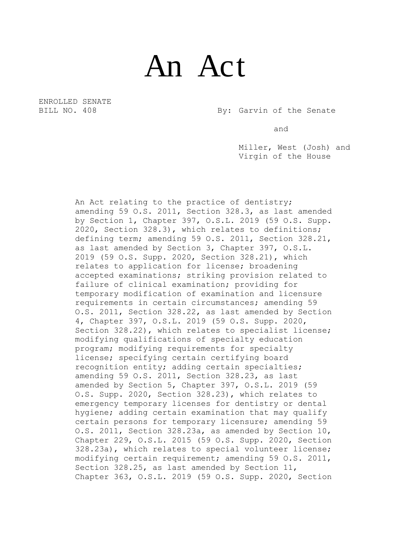## An Act

ENROLLED SENATE

BILL NO. 408 By: Garvin of the Senate

and

Miller, West (Josh) and Virgin of the House

An Act relating to the practice of dentistry; amending 59 O.S. 2011, Section 328.3, as last amended by Section 1, Chapter 397, O.S.L. 2019 (59 O.S. Supp. 2020, Section 328.3), which relates to definitions; defining term; amending 59 O.S. 2011, Section 328.21, as last amended by Section 3, Chapter 397, O.S.L. 2019 (59 O.S. Supp. 2020, Section 328.21), which relates to application for license; broadening accepted examinations; striking provision related to failure of clinical examination; providing for temporary modification of examination and licensure requirements in certain circumstances; amending 59 O.S. 2011, Section 328.22, as last amended by Section 4, Chapter 397, O.S.L. 2019 (59 O.S. Supp. 2020, Section 328.22), which relates to specialist license; modifying qualifications of specialty education program; modifying requirements for specialty license; specifying certain certifying board recognition entity; adding certain specialties; amending 59 O.S. 2011, Section 328.23, as last amended by Section 5, Chapter 397, O.S.L. 2019 (59 O.S. Supp. 2020, Section 328.23), which relates to emergency temporary licenses for dentistry or dental hygiene; adding certain examination that may qualify certain persons for temporary licensure; amending 59 O.S. 2011, Section 328.23a, as amended by Section 10, Chapter 229, O.S.L. 2015 (59 O.S. Supp. 2020, Section 328.23a), which relates to special volunteer license; modifying certain requirement; amending 59 O.S. 2011, Section 328.25, as last amended by Section 11, Chapter 363, O.S.L. 2019 (59 O.S. Supp. 2020, Section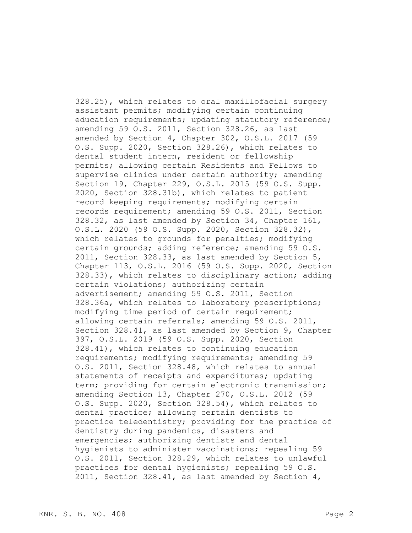328.25), which relates to oral maxillofacial surgery assistant permits; modifying certain continuing education requirements; updating statutory reference; amending 59 O.S. 2011, Section 328.26, as last amended by Section 4, Chapter 302, O.S.L. 2017 (59 O.S. Supp. 2020, Section 328.26), which relates to dental student intern, resident or fellowship permits; allowing certain Residents and Fellows to supervise clinics under certain authority; amending Section 19, Chapter 229, O.S.L. 2015 (59 O.S. Supp. 2020, Section 328.31b), which relates to patient record keeping requirements; modifying certain records requirement; amending 59 O.S. 2011, Section 328.32, as last amended by Section 34, Chapter 161, O.S.L. 2020 (59 O.S. Supp. 2020, Section 328.32), which relates to grounds for penalties; modifying certain grounds; adding reference; amending 59 O.S. 2011, Section 328.33, as last amended by Section 5, Chapter 113, O.S.L. 2016 (59 O.S. Supp. 2020, Section 328.33), which relates to disciplinary action; adding certain violations; authorizing certain advertisement; amending 59 O.S. 2011, Section 328.36a, which relates to laboratory prescriptions; modifying time period of certain requirement; allowing certain referrals; amending 59 O.S. 2011, Section 328.41, as last amended by Section 9, Chapter 397, O.S.L. 2019 (59 O.S. Supp. 2020, Section 328.41), which relates to continuing education requirements; modifying requirements; amending 59 O.S. 2011, Section 328.48, which relates to annual statements of receipts and expenditures; updating term; providing for certain electronic transmission; amending Section 13, Chapter 270, O.S.L. 2012 (59 O.S. Supp. 2020, Section 328.54), which relates to dental practice; allowing certain dentists to practice teledentistry; providing for the practice of dentistry during pandemics, disasters and emergencies; authorizing dentists and dental hygienists to administer vaccinations; repealing 59 O.S. 2011, Section 328.29, which relates to unlawful practices for dental hygienists; repealing 59 O.S. 2011, Section 328.41, as last amended by Section 4,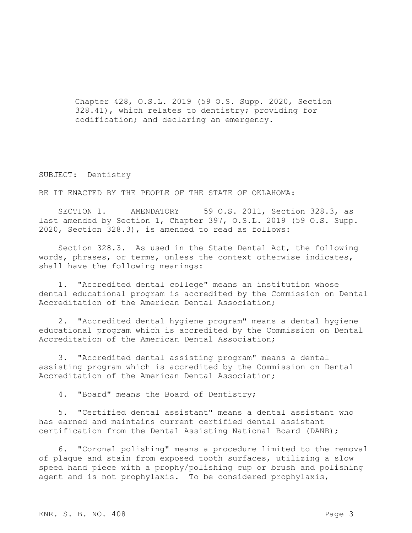Chapter 428, O.S.L. 2019 (59 O.S. Supp. 2020, Section 328.41), which relates to dentistry; providing for codification; and declaring an emergency.

## SUBJECT: Dentistry

BE IT ENACTED BY THE PEOPLE OF THE STATE OF OKLAHOMA:

SECTION 1. AMENDATORY 59 O.S. 2011, Section 328.3, as last amended by Section 1, Chapter 397, O.S.L. 2019 (59 O.S. Supp. 2020, Section 328.3), is amended to read as follows:

Section 328.3. As used in the State Dental Act, the following words, phrases, or terms, unless the context otherwise indicates, shall have the following meanings:

1. "Accredited dental college" means an institution whose dental educational program is accredited by the Commission on Dental Accreditation of the American Dental Association;

2. "Accredited dental hygiene program" means a dental hygiene educational program which is accredited by the Commission on Dental Accreditation of the American Dental Association;

3. "Accredited dental assisting program" means a dental assisting program which is accredited by the Commission on Dental Accreditation of the American Dental Association;

4. "Board" means the Board of Dentistry;

5. "Certified dental assistant" means a dental assistant who has earned and maintains current certified dental assistant certification from the Dental Assisting National Board (DANB);

6. "Coronal polishing" means a procedure limited to the removal of plaque and stain from exposed tooth surfaces, utilizing a slow speed hand piece with a prophy/polishing cup or brush and polishing agent and is not prophylaxis. To be considered prophylaxis,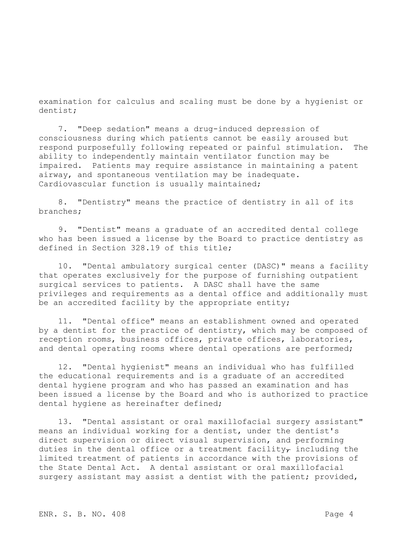examination for calculus and scaling must be done by a hygienist or dentist;

7. "Deep sedation" means a drug-induced depression of consciousness during which patients cannot be easily aroused but respond purposefully following repeated or painful stimulation. The ability to independently maintain ventilator function may be impaired. Patients may require assistance in maintaining a patent airway, and spontaneous ventilation may be inadequate. Cardiovascular function is usually maintained;

8. "Dentistry" means the practice of dentistry in all of its branches;

9. "Dentist" means a graduate of an accredited dental college who has been issued a license by the Board to practice dentistry as defined in Section 328.19 of this title;

10. "Dental ambulatory surgical center (DASC)" means a facility that operates exclusively for the purpose of furnishing outpatient surgical services to patients. A DASC shall have the same privileges and requirements as a dental office and additionally must be an accredited facility by the appropriate entity;

11. "Dental office" means an establishment owned and operated by a dentist for the practice of dentistry, which may be composed of reception rooms, business offices, private offices, laboratories, and dental operating rooms where dental operations are performed;

12. "Dental hygienist" means an individual who has fulfilled the educational requirements and is a graduate of an accredited dental hygiene program and who has passed an examination and has been issued a license by the Board and who is authorized to practice dental hygiene as hereinafter defined;

13. "Dental assistant or oral maxillofacial surgery assistant" means an individual working for a dentist, under the dentist's direct supervision or direct visual supervision, and performing duties in the dental office or a treatment facility $_\tau$  including the limited treatment of patients in accordance with the provisions of the State Dental Act. A dental assistant or oral maxillofacial surgery assistant may assist a dentist with the patient; provided,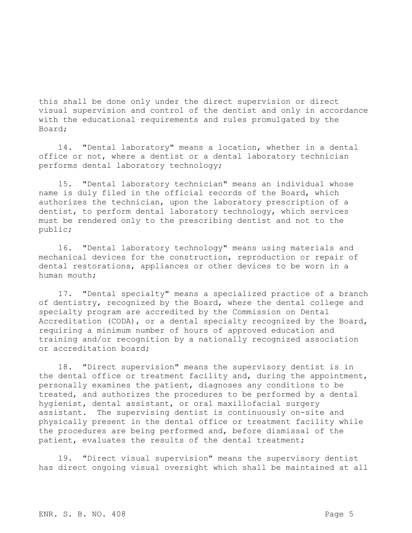this shall be done only under the direct supervision or direct visual supervision and control of the dentist and only in accordance with the educational requirements and rules promulgated by the Board;

14. "Dental laboratory" means a location, whether in a dental office or not, where a dentist or a dental laboratory technician performs dental laboratory technology;

15. "Dental laboratory technician" means an individual whose name is duly filed in the official records of the Board, which authorizes the technician, upon the laboratory prescription of a dentist, to perform dental laboratory technology, which services must be rendered only to the prescribing dentist and not to the public;

16. "Dental laboratory technology" means using materials and mechanical devices for the construction, reproduction or repair of dental restorations, appliances or other devices to be worn in a human mouth;

17. "Dental specialty" means a specialized practice of a branch of dentistry, recognized by the Board, where the dental college and specialty program are accredited by the Commission on Dental Accreditation (CODA), or a dental specialty recognized by the Board, requiring a minimum number of hours of approved education and training and/or recognition by a nationally recognized association or accreditation board;

18. "Direct supervision" means the supervisory dentist is in the dental office or treatment facility and, during the appointment, personally examines the patient, diagnoses any conditions to be treated, and authorizes the procedures to be performed by a dental hygienist, dental assistant, or oral maxillofacial surgery assistant. The supervising dentist is continuously on-site and physically present in the dental office or treatment facility while the procedures are being performed and, before dismissal of the patient, evaluates the results of the dental treatment;

19. "Direct visual supervision" means the supervisory dentist has direct ongoing visual oversight which shall be maintained at all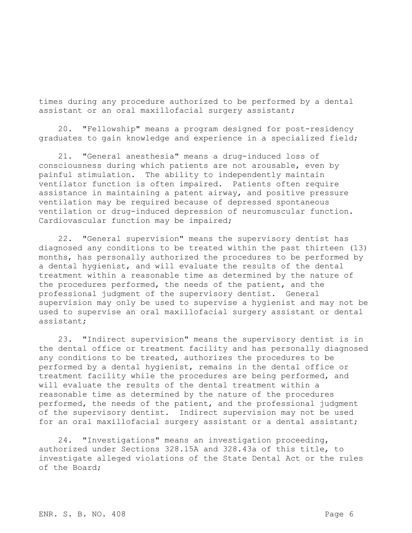times during any procedure authorized to be performed by a dental assistant or an oral maxillofacial surgery assistant;

20. "Fellowship" means a program designed for post-residency graduates to gain knowledge and experience in a specialized field;

21. "General anesthesia" means a drug-induced loss of consciousness during which patients are not arousable, even by painful stimulation. The ability to independently maintain ventilator function is often impaired. Patients often require assistance in maintaining a patent airway, and positive pressure ventilation may be required because of depressed spontaneous ventilation or drug-induced depression of neuromuscular function. Cardiovascular function may be impaired;

22. "General supervision" means the supervisory dentist has diagnosed any conditions to be treated within the past thirteen (13) months, has personally authorized the procedures to be performed by a dental hygienist, and will evaluate the results of the dental treatment within a reasonable time as determined by the nature of the procedures performed, the needs of the patient, and the professional judgment of the supervisory dentist. General supervision may only be used to supervise a hygienist and may not be used to supervise an oral maxillofacial surgery assistant or dental assistant;

23. "Indirect supervision" means the supervisory dentist is in the dental office or treatment facility and has personally diagnosed any conditions to be treated, authorizes the procedures to be performed by a dental hygienist, remains in the dental office or treatment facility while the procedures are being performed, and will evaluate the results of the dental treatment within a reasonable time as determined by the nature of the procedures performed, the needs of the patient, and the professional judgment of the supervisory dentist. Indirect supervision may not be used for an oral maxillofacial surgery assistant or a dental assistant;

24. "Investigations" means an investigation proceeding, authorized under Sections 328.15A and 328.43a of this title, to investigate alleged violations of the State Dental Act or the rules of the Board;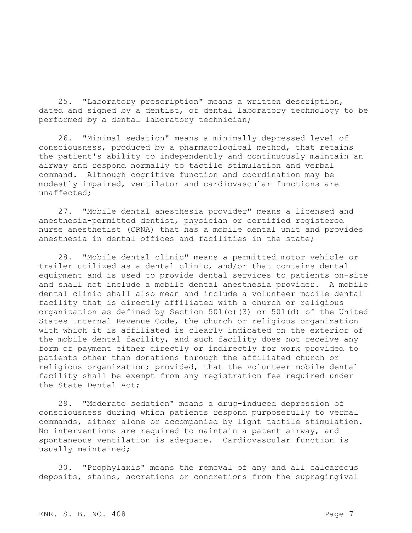25. "Laboratory prescription" means a written description, dated and signed by a dentist, of dental laboratory technology to be performed by a dental laboratory technician;

26. "Minimal sedation" means a minimally depressed level of consciousness, produced by a pharmacological method, that retains the patient's ability to independently and continuously maintain an airway and respond normally to tactile stimulation and verbal command. Although cognitive function and coordination may be modestly impaired, ventilator and cardiovascular functions are unaffected;

27. "Mobile dental anesthesia provider" means a licensed and anesthesia-permitted dentist, physician or certified registered nurse anesthetist (CRNA) that has a mobile dental unit and provides anesthesia in dental offices and facilities in the state;

28. "Mobile dental clinic" means a permitted motor vehicle or trailer utilized as a dental clinic, and/or that contains dental equipment and is used to provide dental services to patients on-site and shall not include a mobile dental anesthesia provider. A mobile dental clinic shall also mean and include a volunteer mobile dental facility that is directly affiliated with a church or religious organization as defined by Section 501(c)(3) or 501(d) of the United States Internal Revenue Code, the church or religious organization with which it is affiliated is clearly indicated on the exterior of the mobile dental facility, and such facility does not receive any form of payment either directly or indirectly for work provided to patients other than donations through the affiliated church or religious organization; provided, that the volunteer mobile dental facility shall be exempt from any registration fee required under the State Dental Act;

29. "Moderate sedation" means a drug-induced depression of consciousness during which patients respond purposefully to verbal commands, either alone or accompanied by light tactile stimulation. No interventions are required to maintain a patent airway, and spontaneous ventilation is adequate. Cardiovascular function is usually maintained;

30. "Prophylaxis" means the removal of any and all calcareous deposits, stains, accretions or concretions from the supragingival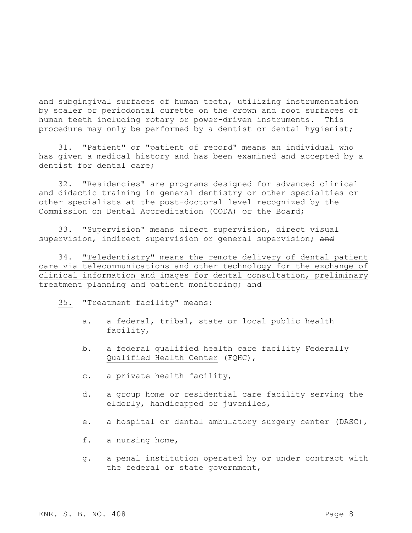and subgingival surfaces of human teeth, utilizing instrumentation by scaler or periodontal curette on the crown and root surfaces of human teeth including rotary or power-driven instruments. This procedure may only be performed by a dentist or dental hygienist;

31. "Patient" or "patient of record" means an individual who has given a medical history and has been examined and accepted by a dentist for dental care;

32. "Residencies" are programs designed for advanced clinical and didactic training in general dentistry or other specialties or other specialists at the post-doctoral level recognized by the Commission on Dental Accreditation (CODA) or the Board;

33. "Supervision" means direct supervision, direct visual supervision, indirect supervision or general supervision; and

34. "Teledentistry" means the remote delivery of dental patient care via telecommunications and other technology for the exchange of clinical information and images for dental consultation, preliminary treatment planning and patient monitoring; and

35. "Treatment facility" means:

- a. a federal, tribal, state or local public health facility,
- b. a federal qualified health care facility Federally Qualified Health Center (FQHC),
- c. a private health facility,
- d. a group home or residential care facility serving the elderly, handicapped or juveniles,
- e. a hospital or dental ambulatory surgery center (DASC),
- f. a nursing home,
- g. a penal institution operated by or under contract with the federal or state government,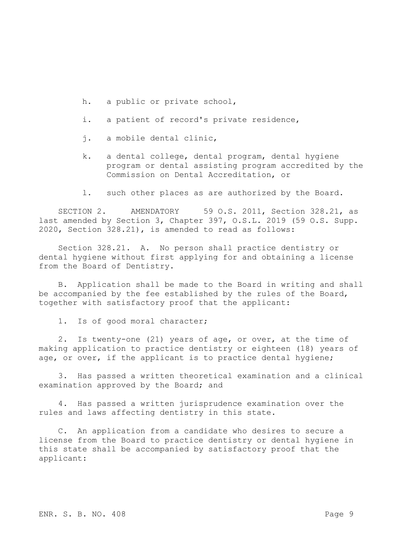- h. a public or private school,
- i. a patient of record's private residence,
- j. a mobile dental clinic,
- k. a dental college, dental program, dental hygiene program or dental assisting program accredited by the Commission on Dental Accreditation, or
- l. such other places as are authorized by the Board.

SECTION 2. AMENDATORY 59 O.S. 2011, Section 328.21, as last amended by Section 3, Chapter 397, O.S.L. 2019 (59 O.S. Supp. 2020, Section 328.21), is amended to read as follows:

Section 328.21. A. No person shall practice dentistry or dental hygiene without first applying for and obtaining a license from the Board of Dentistry.

B. Application shall be made to the Board in writing and shall be accompanied by the fee established by the rules of the Board, together with satisfactory proof that the applicant:

1. Is of good moral character;

2. Is twenty-one (21) years of age, or over, at the time of making application to practice dentistry or eighteen (18) years of age, or over, if the applicant is to practice dental hygiene;

3. Has passed a written theoretical examination and a clinical examination approved by the Board; and

4. Has passed a written jurisprudence examination over the rules and laws affecting dentistry in this state.

C. An application from a candidate who desires to secure a license from the Board to practice dentistry or dental hygiene in this state shall be accompanied by satisfactory proof that the applicant: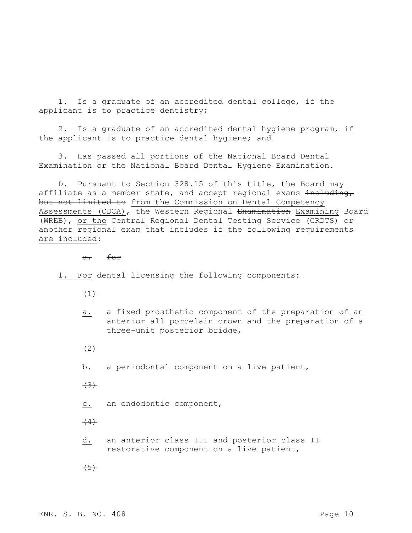1. Is a graduate of an accredited dental college, if the applicant is to practice dentistry;

2. Is a graduate of an accredited dental hygiene program, if the applicant is to practice dental hygiene; and

3. Has passed all portions of the National Board Dental Examination or the National Board Dental Hygiene Examination.

D. Pursuant to Section 328.15 of this title, the Board may affiliate as a member state, and accept regional exams including, but not limited to from the Commission on Dental Competency Assessments (CDCA), the Western Regional Examination Examining Board (WREB), or the Central Regional Dental Testing Service (CRDTS)  $\Theta$ r another regional exam that includes if the following requirements are included:

a. for

1. For dental licensing the following components:

 $(1)$ 

a. a fixed prosthetic component of the preparation of an anterior all porcelain crown and the preparation of a three-unit posterior bridge,

 $(2)$ 

b. a periodontal component on a live patient,

 $+3+$ 

c. an endodontic component,

 $(4)$ 

d. an anterior class III and posterior class II restorative component on a live patient,

 $(5)$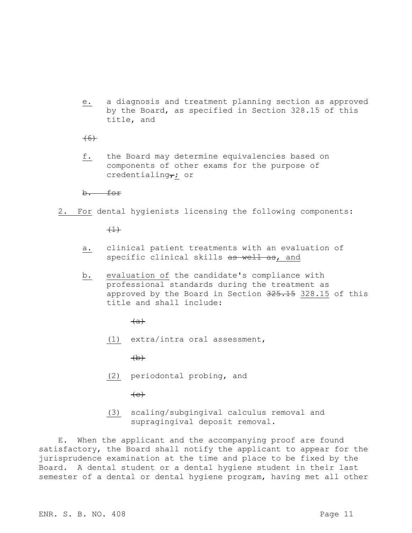e. a diagnosis and treatment planning section as approved by the Board, as specified in Section 328.15 of this title, and

 $(6)$ 

f. the Board may determine equivalencies based on components of other exams for the purpose of credentialing $\tau$ ; or

b. for

2. For dental hygienists licensing the following components:

 $(1)$ 

- a. clinical patient treatments with an evaluation of specific clinical skills as well as, and
- b. evaluation of the candidate's compliance with professional standards during the treatment as approved by the Board in Section 325.15 328.15 of this title and shall include:

 $(a)$ 

(1) extra/intra oral assessment,

 $(b)$ 

(2) periodontal probing, and

 $\left( e\right)$ 

(3) scaling/subgingival calculus removal and supragingival deposit removal.

E. When the applicant and the accompanying proof are found satisfactory, the Board shall notify the applicant to appear for the jurisprudence examination at the time and place to be fixed by the Board. A dental student or a dental hygiene student in their last semester of a dental or dental hygiene program, having met all other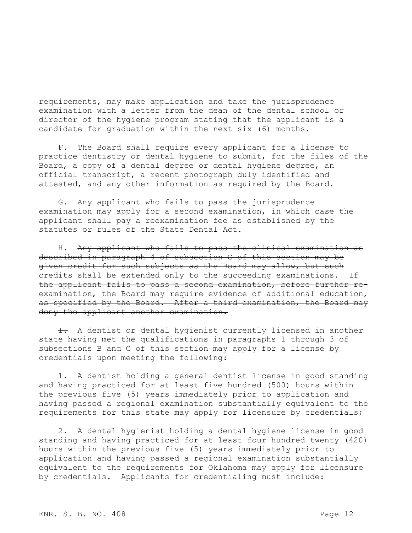requirements, may make application and take the jurisprudence examination with a letter from the dean of the dental school or director of the hygiene program stating that the applicant is a candidate for graduation within the next six (6) months.

F. The Board shall require every applicant for a license to practice dentistry or dental hygiene to submit, for the files of the Board, a copy of a dental degree or dental hygiene degree, an official transcript, a recent photograph duly identified and attested, and any other information as required by the Board.

G. Any applicant who fails to pass the jurisprudence examination may apply for a second examination, in which case the applicant shall pay a reexamination fee as established by the statutes or rules of the State Dental Act.

H. Any applicant who fails to pass the clinical examination as described in paragraph 4 of subsection C of this section may be given credit for such subjects as the Board may allow, but such credits shall be extended only to the succeeding examinations. If the applicant fails to pass a second examination, before further reexamination, the Board may require evidence of additional education, as specified by the Board. After a third examination, the Board may deny the applicant another examination.

 $\pm$ . A dentist or dental hygienist currently licensed in another state having met the qualifications in paragraphs 1 through 3 of subsections B and C of this section may apply for a license by credentials upon meeting the following:

1. A dentist holding a general dentist license in good standing and having practiced for at least five hundred (500) hours within the previous five (5) years immediately prior to application and having passed a regional examination substantially equivalent to the requirements for this state may apply for licensure by credentials;

2. A dental hygienist holding a dental hygiene license in good standing and having practiced for at least four hundred twenty (420) hours within the previous five (5) years immediately prior to application and having passed a regional examination substantially equivalent to the requirements for Oklahoma may apply for licensure by credentials. Applicants for credentialing must include: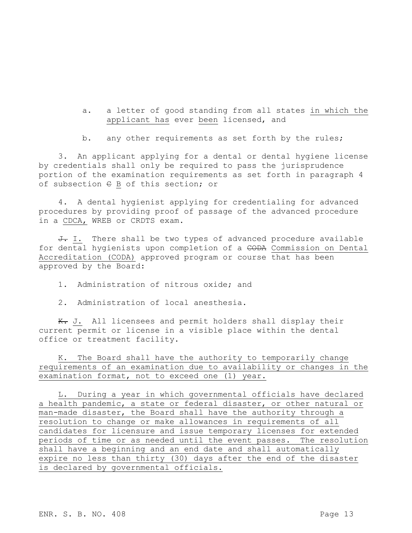a. a letter of good standing from all states in which the applicant has ever been licensed, and

b. any other requirements as set forth by the rules;

3. An applicant applying for a dental or dental hygiene license by credentials shall only be required to pass the jurisprudence portion of the examination requirements as set forth in paragraph 4 of subsection  $\in$  B of this section; or

4. A dental hygienist applying for credentialing for advanced procedures by providing proof of passage of the advanced procedure in a CDCA, WREB or CRDTS exam.

J. I. There shall be two types of advanced procedure available for dental hygienists upon completion of a CODA Commission on Dental Accreditation (CODA) approved program or course that has been approved by the Board:

1. Administration of nitrous oxide; and

2. Administration of local anesthesia.

K. J. All licensees and permit holders shall display their current permit or license in a visible place within the dental office or treatment facility.

K. The Board shall have the authority to temporarily change requirements of an examination due to availability or changes in the examination format, not to exceed one (1) year.

L. During a year in which governmental officials have declared a health pandemic, a state or federal disaster, or other natural or man-made disaster, the Board shall have the authority through a resolution to change or make allowances in requirements of all candidates for licensure and issue temporary licenses for extended periods of time or as needed until the event passes. The resolution shall have a beginning and an end date and shall automatically expire no less than thirty (30) days after the end of the disaster is declared by governmental officials.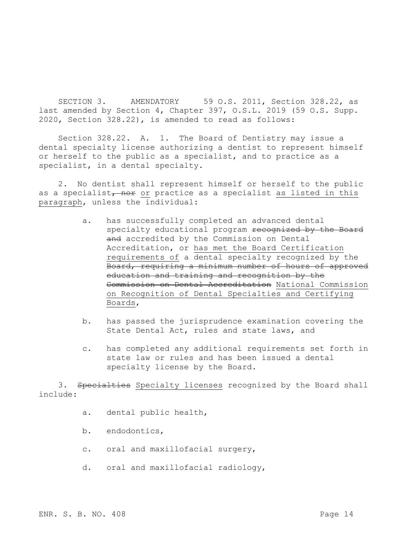SECTION 3. AMENDATORY 59 O.S. 2011, Section 328.22, as last amended by Section 4, Chapter 397, O.S.L. 2019 (59 O.S. Supp. 2020, Section 328.22), is amended to read as follows:

Section 328.22. A. 1. The Board of Dentistry may issue a dental specialty license authorizing a dentist to represent himself or herself to the public as a specialist, and to practice as a specialist, in a dental specialty.

2. No dentist shall represent himself or herself to the public as a specialist<sub></sub> nor or practice as a specialist as listed in this paragraph, unless the individual:

- a. has successfully completed an advanced dental specialty educational program recognized by the Board and accredited by the Commission on Dental Accreditation, or has met the Board Certification requirements of a dental specialty recognized by the Board, requiring a minimum number of hours of approved education and training and recognition by the Commission on Dental Accreditation National Commission on Recognition of Dental Specialties and Certifying Boards,
- b. has passed the jurisprudence examination covering the State Dental Act, rules and state laws, and
- c. has completed any additional requirements set forth in state law or rules and has been issued a dental specialty license by the Board.

3. Specialties Specialty licenses recognized by the Board shall include:

- a. dental public health,
- b. endodontics,
- c. oral and maxillofacial surgery,
- d. oral and maxillofacial radiology,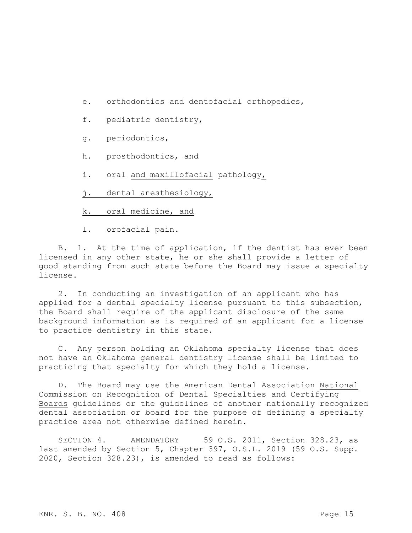- e. orthodontics and dentofacial orthopedics,
- f. pediatric dentistry,
- g. periodontics,
- h. prosthodontics, and
- i. oral and maxillofacial pathology,
- j. dental anesthesiology,
- k. oral medicine, and

l. orofacial pain.

B. 1. At the time of application, if the dentist has ever been licensed in any other state, he or she shall provide a letter of good standing from such state before the Board may issue a specialty license.

2. In conducting an investigation of an applicant who has applied for a dental specialty license pursuant to this subsection, the Board shall require of the applicant disclosure of the same background information as is required of an applicant for a license to practice dentistry in this state.

C. Any person holding an Oklahoma specialty license that does not have an Oklahoma general dentistry license shall be limited to practicing that specialty for which they hold a license.

D. The Board may use the American Dental Association National Commission on Recognition of Dental Specialties and Certifying Boards guidelines or the guidelines of another nationally recognized dental association or board for the purpose of defining a specialty practice area not otherwise defined herein.

SECTION 4. AMENDATORY 59 O.S. 2011, Section 328.23, as last amended by Section 5, Chapter 397, O.S.L. 2019 (59 O.S. Supp. 2020, Section 328.23), is amended to read as follows: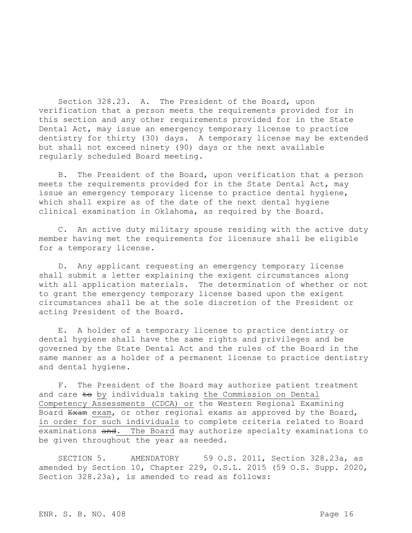Section 328.23. A. The President of the Board, upon verification that a person meets the requirements provided for in this section and any other requirements provided for in the State Dental Act, may issue an emergency temporary license to practice dentistry for thirty (30) days. A temporary license may be extended but shall not exceed ninety (90) days or the next available regularly scheduled Board meeting.

B. The President of the Board, upon verification that a person meets the requirements provided for in the State Dental Act, may issue an emergency temporary license to practice dental hygiene, which shall expire as of the date of the next dental hygiene clinical examination in Oklahoma, as required by the Board.

C. An active duty military spouse residing with the active duty member having met the requirements for licensure shall be eligible for a temporary license.

D. Any applicant requesting an emergency temporary license shall submit a letter explaining the exigent circumstances along with all application materials. The determination of whether or not to grant the emergency temporary license based upon the exigent circumstances shall be at the sole discretion of the President or acting President of the Board.

E. A holder of a temporary license to practice dentistry or dental hygiene shall have the same rights and privileges and be governed by the State Dental Act and the rules of the Board in the same manner as a holder of a permanent license to practice dentistry and dental hygiene.

F. The President of the Board may authorize patient treatment and care to by individuals taking the Commission on Dental Competency Assessments (CDCA) or the Western Regional Examining Board Exam exam, or other regional exams as approved by the Board, in order for such individuals to complete criteria related to Board examinations and. The Board may authorize specialty examinations to be given throughout the year as needed.

SECTION 5. AMENDATORY 59 O.S. 2011, Section 328.23a, as amended by Section 10, Chapter 229, O.S.L. 2015 (59 O.S. Supp. 2020, Section 328.23a), is amended to read as follows: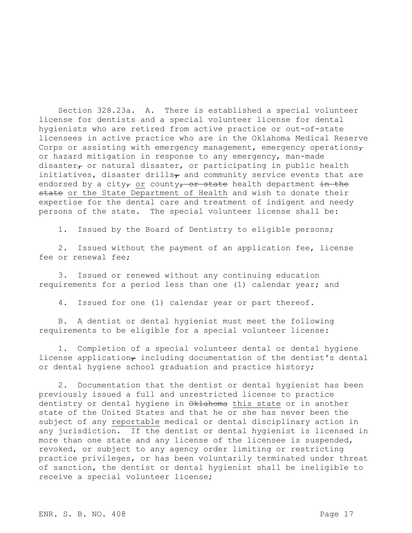Section 328.23a. A. There is established a special volunteer license for dentists and a special volunteer license for dental hygienists who are retired from active practice or out-of-state licensees in active practice who are in the Oklahoma Medical Reserve Corps or assisting with emergency management, emergency operations $\tau$ or hazard mitigation in response to any emergency, man-made disaster $_{\tau}$  or natural disaster, or participating in public health initiatives, disaster drills<sub> $\tau$ </sub> and community service events that are endorsed by a city<sub> $\tau$ </sub> or county, or state health department in the state or the State Department of Health and wish to donate their expertise for the dental care and treatment of indigent and needy persons of the state. The special volunteer license shall be:

1. Issued by the Board of Dentistry to eligible persons;

2. Issued without the payment of an application fee, license fee or renewal fee;

3. Issued or renewed without any continuing education requirements for a period less than one (1) calendar year; and

4. Issued for one (1) calendar year or part thereof.

B. A dentist or dental hygienist must meet the following requirements to be eligible for a special volunteer license:

1. Completion of a special volunteer dental or dental hygiene license application $<sub>7</sub>$  including documentation of the dentist's dental</sub> or dental hygiene school graduation and practice history;

2. Documentation that the dentist or dental hygienist has been previously issued a full and unrestricted license to practice dentistry or dental hygiene in Oklahoma this state or in another state of the United States and that he or she has never been the subject of any reportable medical or dental disciplinary action in any jurisdiction. If the dentist or dental hygienist is licensed in more than one state and any license of the licensee is suspended, revoked, or subject to any agency order limiting or restricting practice privileges, or has been voluntarily terminated under threat of sanction, the dentist or dental hygienist shall be ineligible to receive a special volunteer license;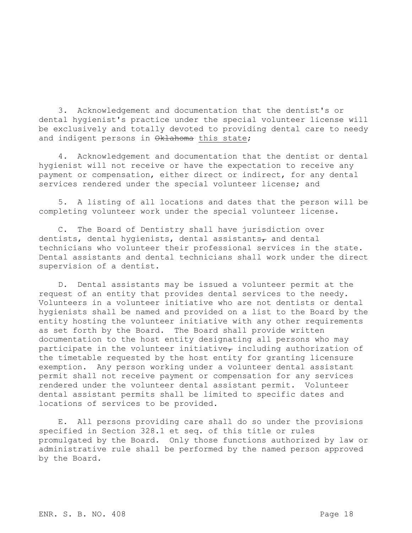3. Acknowledgement and documentation that the dentist's or dental hygienist's practice under the special volunteer license will be exclusively and totally devoted to providing dental care to needy and indigent persons in Oklahoma this state;

4. Acknowledgement and documentation that the dentist or dental hygienist will not receive or have the expectation to receive any payment or compensation, either direct or indirect, for any dental services rendered under the special volunteer license; and

5. A listing of all locations and dates that the person will be completing volunteer work under the special volunteer license.

C. The Board of Dentistry shall have jurisdiction over dentists, dental hygienists, dental assistants $_{\tau}$  and dental technicians who volunteer their professional services in the state. Dental assistants and dental technicians shall work under the direct supervision of a dentist.

D. Dental assistants may be issued a volunteer permit at the request of an entity that provides dental services to the needy. Volunteers in a volunteer initiative who are not dentists or dental hygienists shall be named and provided on a list to the Board by the entity hosting the volunteer initiative with any other requirements as set forth by the Board. The Board shall provide written documentation to the host entity designating all persons who may participate in the volunteer initiative, including authorization of the timetable requested by the host entity for granting licensure exemption. Any person working under a volunteer dental assistant permit shall not receive payment or compensation for any services rendered under the volunteer dental assistant permit. Volunteer dental assistant permits shall be limited to specific dates and locations of services to be provided.

E. All persons providing care shall do so under the provisions specified in Section 328.1 et seq. of this title or rules promulgated by the Board. Only those functions authorized by law or administrative rule shall be performed by the named person approved by the Board.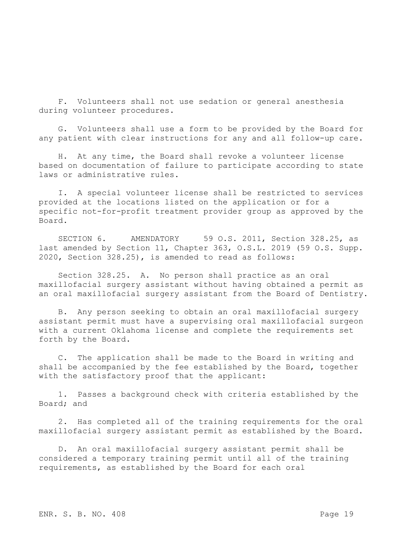F. Volunteers shall not use sedation or general anesthesia during volunteer procedures.

G. Volunteers shall use a form to be provided by the Board for any patient with clear instructions for any and all follow-up care.

H. At any time, the Board shall revoke a volunteer license based on documentation of failure to participate according to state laws or administrative rules.

I. A special volunteer license shall be restricted to services provided at the locations listed on the application or for a specific not-for-profit treatment provider group as approved by the Board.

SECTION 6. AMENDATORY 59 O.S. 2011, Section 328.25, as last amended by Section 11, Chapter 363, O.S.L. 2019 (59 O.S. Supp. 2020, Section 328.25), is amended to read as follows:

Section 328.25. A. No person shall practice as an oral maxillofacial surgery assistant without having obtained a permit as an oral maxillofacial surgery assistant from the Board of Dentistry.

B. Any person seeking to obtain an oral maxillofacial surgery assistant permit must have a supervising oral maxillofacial surgeon with a current Oklahoma license and complete the requirements set forth by the Board.

C. The application shall be made to the Board in writing and shall be accompanied by the fee established by the Board, together with the satisfactory proof that the applicant:

1. Passes a background check with criteria established by the Board; and

2. Has completed all of the training requirements for the oral maxillofacial surgery assistant permit as established by the Board.

D. An oral maxillofacial surgery assistant permit shall be considered a temporary training permit until all of the training requirements, as established by the Board for each oral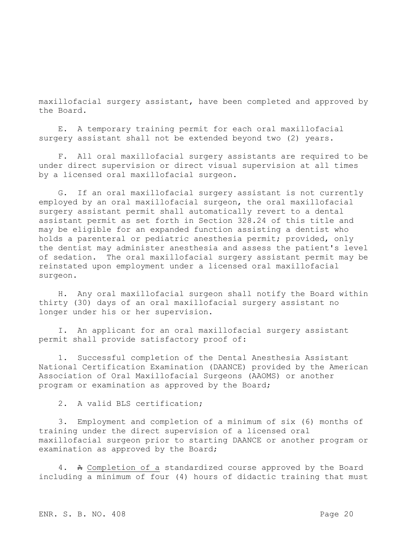maxillofacial surgery assistant, have been completed and approved by the Board.

E. A temporary training permit for each oral maxillofacial surgery assistant shall not be extended beyond two (2) years.

F. All oral maxillofacial surgery assistants are required to be under direct supervision or direct visual supervision at all times by a licensed oral maxillofacial surgeon.

G. If an oral maxillofacial surgery assistant is not currently employed by an oral maxillofacial surgeon, the oral maxillofacial surgery assistant permit shall automatically revert to a dental assistant permit as set forth in Section 328.24 of this title and may be eligible for an expanded function assisting a dentist who holds a parenteral or pediatric anesthesia permit; provided, only the dentist may administer anesthesia and assess the patient's level of sedation. The oral maxillofacial surgery assistant permit may be reinstated upon employment under a licensed oral maxillofacial surgeon.

H. Any oral maxillofacial surgeon shall notify the Board within thirty (30) days of an oral maxillofacial surgery assistant no longer under his or her supervision.

I. An applicant for an oral maxillofacial surgery assistant permit shall provide satisfactory proof of:

1. Successful completion of the Dental Anesthesia Assistant National Certification Examination (DAANCE) provided by the American Association of Oral Maxillofacial Surgeons (AAOMS) or another program or examination as approved by the Board;

2. A valid BLS certification;

3. Employment and completion of a minimum of six (6) months of training under the direct supervision of a licensed oral maxillofacial surgeon prior to starting DAANCE or another program or examination as approved by the Board;

4. A Completion of a standardized course approved by the Board including a minimum of four (4) hours of didactic training that must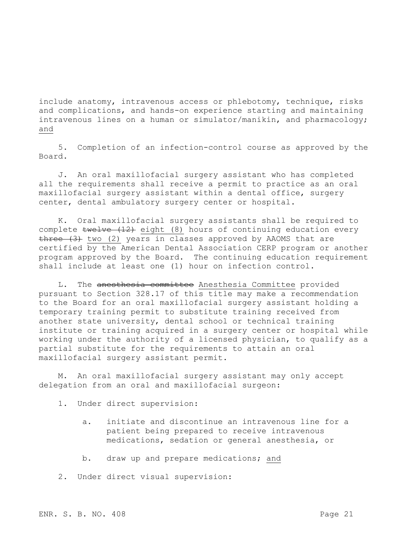include anatomy, intravenous access or phlebotomy, technique, risks and complications, and hands-on experience starting and maintaining intravenous lines on a human or simulator/manikin, and pharmacology; and

5. Completion of an infection-control course as approved by the Board.

J. An oral maxillofacial surgery assistant who has completed all the requirements shall receive a permit to practice as an oral maxillofacial surgery assistant within a dental office, surgery center, dental ambulatory surgery center or hospital.

K. Oral maxillofacial surgery assistants shall be required to complete twelve (12) eight (8) hours of continuing education every three (3) two (2) years in classes approved by AAOMS that are certified by the American Dental Association CERP program or another program approved by the Board. The continuing education requirement shall include at least one (1) hour on infection control.

L. The anesthesia committee Anesthesia Committee provided pursuant to Section 328.17 of this title may make a recommendation to the Board for an oral maxillofacial surgery assistant holding a temporary training permit to substitute training received from another state university, dental school or technical training institute or training acquired in a surgery center or hospital while working under the authority of a licensed physician, to qualify as a partial substitute for the requirements to attain an oral maxillofacial surgery assistant permit.

M. An oral maxillofacial surgery assistant may only accept delegation from an oral and maxillofacial surgeon:

- 1. Under direct supervision:
	- a. initiate and discontinue an intravenous line for a patient being prepared to receive intravenous medications, sedation or general anesthesia, or
	- b. draw up and prepare medications; and
- 2. Under direct visual supervision: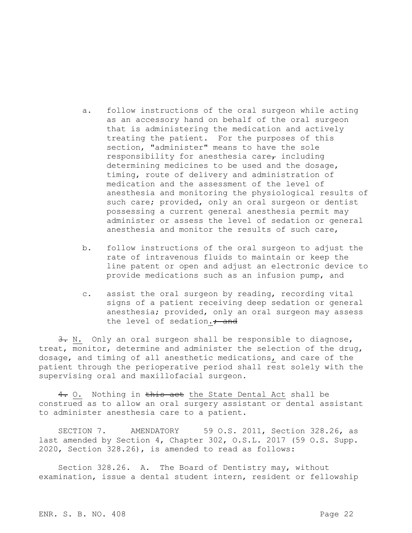- a. follow instructions of the oral surgeon while acting as an accessory hand on behalf of the oral surgeon that is administering the medication and actively treating the patient. For the purposes of this section, "administer" means to have the sole responsibility for anesthesia care $\tau$  including determining medicines to be used and the dosage, timing, route of delivery and administration of medication and the assessment of the level of anesthesia and monitoring the physiological results of such care; provided, only an oral surgeon or dentist possessing a current general anesthesia permit may administer or assess the level of sedation or general anesthesia and monitor the results of such care,
- b. follow instructions of the oral surgeon to adjust the rate of intravenous fluids to maintain or keep the line patent or open and adjust an electronic device to provide medications such as an infusion pump, and
- c. assist the oral surgeon by reading, recording vital signs of a patient receiving deep sedation or general anesthesia; provided, only an oral surgeon may assess the level of sedation.<sup>+</sup> and

3. N. Only an oral surgeon shall be responsible to diagnose, treat, monitor, determine and administer the selection of the drug, dosage, and timing of all anesthetic medications, and care of the patient through the perioperative period shall rest solely with the supervising oral and maxillofacial surgeon.

4. O. Nothing in this act the State Dental Act shall be construed as to allow an oral surgery assistant or dental assistant to administer anesthesia care to a patient.

SECTION 7. AMENDATORY 59 O.S. 2011, Section 328.26, as last amended by Section 4, Chapter 302, O.S.L. 2017 (59 O.S. Supp. 2020, Section 328.26), is amended to read as follows:

Section 328.26. A. The Board of Dentistry may, without examination, issue a dental student intern, resident or fellowship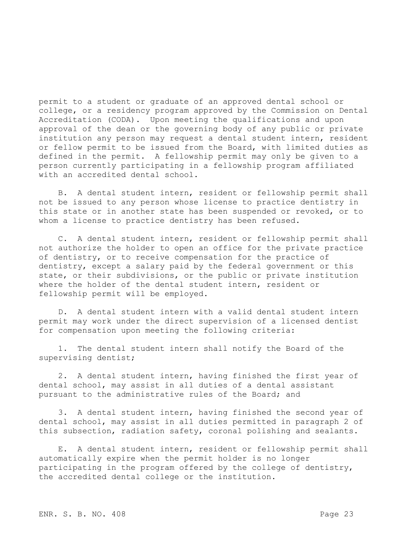permit to a student or graduate of an approved dental school or college, or a residency program approved by the Commission on Dental Accreditation (CODA). Upon meeting the qualifications and upon approval of the dean or the governing body of any public or private institution any person may request a dental student intern, resident or fellow permit to be issued from the Board, with limited duties as defined in the permit. A fellowship permit may only be given to a person currently participating in a fellowship program affiliated with an accredited dental school.

B. A dental student intern, resident or fellowship permit shall not be issued to any person whose license to practice dentistry in this state or in another state has been suspended or revoked, or to whom a license to practice dentistry has been refused.

C. A dental student intern, resident or fellowship permit shall not authorize the holder to open an office for the private practice of dentistry, or to receive compensation for the practice of dentistry, except a salary paid by the federal government or this state, or their subdivisions, or the public or private institution where the holder of the dental student intern, resident or fellowship permit will be employed.

D. A dental student intern with a valid dental student intern permit may work under the direct supervision of a licensed dentist for compensation upon meeting the following criteria:

1. The dental student intern shall notify the Board of the supervising dentist;

2. A dental student intern, having finished the first year of dental school, may assist in all duties of a dental assistant pursuant to the administrative rules of the Board; and

3. A dental student intern, having finished the second year of dental school, may assist in all duties permitted in paragraph 2 of this subsection, radiation safety, coronal polishing and sealants.

E. A dental student intern, resident or fellowship permit shall automatically expire when the permit holder is no longer participating in the program offered by the college of dentistry, the accredited dental college or the institution.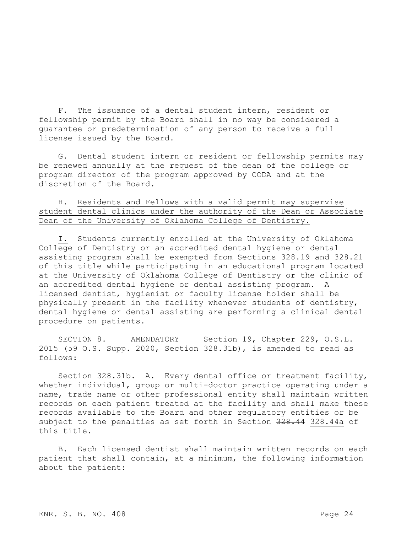F. The issuance of a dental student intern, resident or fellowship permit by the Board shall in no way be considered a guarantee or predetermination of any person to receive a full license issued by the Board.

G. Dental student intern or resident or fellowship permits may be renewed annually at the request of the dean of the college or program director of the program approved by CODA and at the discretion of the Board.

## H. Residents and Fellows with a valid permit may supervise student dental clinics under the authority of the Dean or Associate Dean of the University of Oklahoma College of Dentistry.

I. Students currently enrolled at the University of Oklahoma College of Dentistry or an accredited dental hygiene or dental assisting program shall be exempted from Sections 328.19 and 328.21 of this title while participating in an educational program located at the University of Oklahoma College of Dentistry or the clinic of an accredited dental hygiene or dental assisting program. A licensed dentist, hygienist or faculty license holder shall be physically present in the facility whenever students of dentistry, dental hygiene or dental assisting are performing a clinical dental procedure on patients.

SECTION 8. AMENDATORY Section 19, Chapter 229, O.S.L. 2015 (59 O.S. Supp. 2020, Section 328.31b), is amended to read as follows:

Section 328.31b. A. Every dental office or treatment facility, whether individual, group or multi-doctor practice operating under a name, trade name or other professional entity shall maintain written records on each patient treated at the facility and shall make these records available to the Board and other regulatory entities or be subject to the penalties as set forth in Section 328.44 328.44a of this title.

B. Each licensed dentist shall maintain written records on each patient that shall contain, at a minimum, the following information about the patient: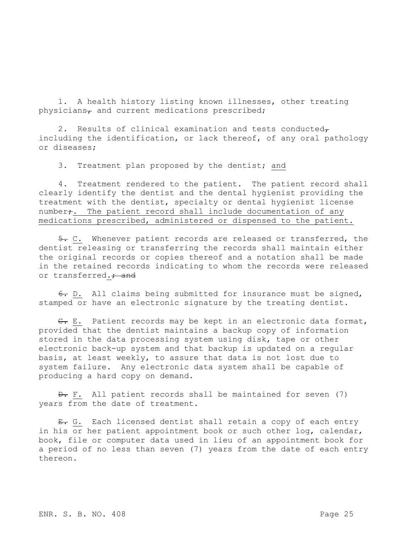1. A health history listing known illnesses, other treating physicians $<sub>7</sub>$  and current medications prescribed;</sub>

2. Results of clinical examination and tests conducted $<sub>\tau</sub>$ </sub> including the identification, or lack thereof, of any oral pathology or diseases;

3. Treatment plan proposed by the dentist; and

4. Treatment rendered to the patient. The patient record shall clearly identify the dentist and the dental hygienist providing the treatment with the dentist, specialty or dental hygienist license number<sub>7</sub>. The patient record shall include documentation of any medications prescribed, administered or dispensed to the patient.

5. C. Whenever patient records are released or transferred, the dentist releasing or transferring the records shall maintain either the original records or copies thereof and a notation shall be made in the retained records indicating to whom the records were released or transferred.; and

6. D. All claims being submitted for insurance must be signed, stamped or have an electronic signature by the treating dentist.

C. E. Patient records may be kept in an electronic data format, provided that the dentist maintains a backup copy of information stored in the data processing system using disk, tape or other electronic back-up system and that backup is updated on a regular basis, at least weekly, to assure that data is not lost due to system failure. Any electronic data system shall be capable of producing a hard copy on demand.

 $\theta$ . F. All patient records shall be maintained for seven (7) years from the date of treatment.

E. G. Each licensed dentist shall retain a copy of each entry in his or her patient appointment book or such other log, calendar, book, file or computer data used in lieu of an appointment book for a period of no less than seven (7) years from the date of each entry thereon.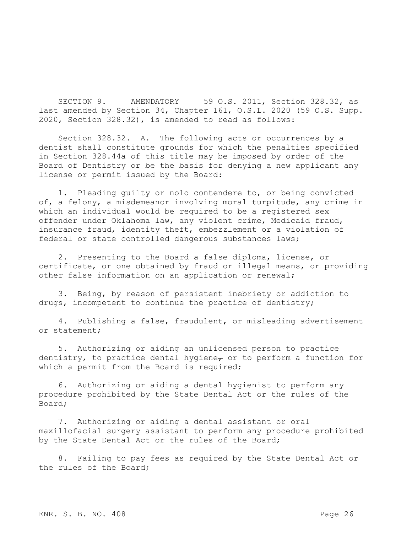SECTION 9. AMENDATORY 59 O.S. 2011, Section 328.32, as last amended by Section 34, Chapter 161, O.S.L. 2020 (59 O.S. Supp. 2020, Section 328.32), is amended to read as follows:

Section 328.32. A. The following acts or occurrences by a dentist shall constitute grounds for which the penalties specified in Section 328.44a of this title may be imposed by order of the Board of Dentistry or be the basis for denying a new applicant any license or permit issued by the Board:

1. Pleading guilty or nolo contendere to, or being convicted of, a felony, a misdemeanor involving moral turpitude, any crime in which an individual would be required to be a registered sex offender under Oklahoma law, any violent crime, Medicaid fraud, insurance fraud, identity theft, embezzlement or a violation of federal or state controlled dangerous substances laws;

2. Presenting to the Board a false diploma, license, or certificate, or one obtained by fraud or illegal means, or providing other false information on an application or renewal;

3. Being, by reason of persistent inebriety or addiction to drugs, incompetent to continue the practice of dentistry;

4. Publishing a false, fraudulent, or misleading advertisement or statement;

5. Authorizing or aiding an unlicensed person to practice dentistry, to practice dental hygiene<sub> $\tau$ </sub> or to perform a function for which a permit from the Board is required;

6. Authorizing or aiding a dental hygienist to perform any procedure prohibited by the State Dental Act or the rules of the Board;

7. Authorizing or aiding a dental assistant or oral maxillofacial surgery assistant to perform any procedure prohibited by the State Dental Act or the rules of the Board;

8. Failing to pay fees as required by the State Dental Act or the rules of the Board;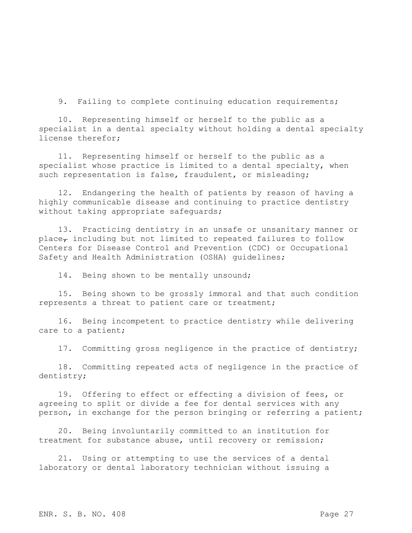9. Failing to complete continuing education requirements;

10. Representing himself or herself to the public as a specialist in a dental specialty without holding a dental specialty license therefor;

11. Representing himself or herself to the public as a specialist whose practice is limited to a dental specialty, when such representation is false, fraudulent, or misleading;

12. Endangering the health of patients by reason of having a highly communicable disease and continuing to practice dentistry without taking appropriate safequards;

13. Practicing dentistry in an unsafe or unsanitary manner or place $_{\tau}$  including but not limited to repeated failures to follow Centers for Disease Control and Prevention (CDC) or Occupational Safety and Health Administration (OSHA) guidelines;

14. Being shown to be mentally unsound;

15. Being shown to be grossly immoral and that such condition represents a threat to patient care or treatment;

16. Being incompetent to practice dentistry while delivering care to a patient;

17. Committing gross negligence in the practice of dentistry;

18. Committing repeated acts of negligence in the practice of dentistry;

19. Offering to effect or effecting a division of fees, or agreeing to split or divide a fee for dental services with any person, in exchange for the person bringing or referring a patient;

20. Being involuntarily committed to an institution for treatment for substance abuse, until recovery or remission;

21. Using or attempting to use the services of a dental laboratory or dental laboratory technician without issuing a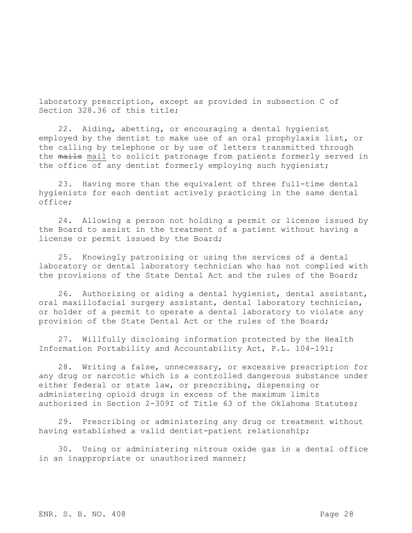laboratory prescription, except as provided in subsection C of Section 328.36 of this title;

22. Aiding, abetting, or encouraging a dental hygienist employed by the dentist to make use of an oral prophylaxis list, or the calling by telephone or by use of letters transmitted through the mails mail to solicit patronage from patients formerly served in the office of any dentist formerly employing such hygienist;

23. Having more than the equivalent of three full-time dental hygienists for each dentist actively practicing in the same dental office;

24. Allowing a person not holding a permit or license issued by the Board to assist in the treatment of a patient without having a license or permit issued by the Board;

25. Knowingly patronizing or using the services of a dental laboratory or dental laboratory technician who has not complied with the provisions of the State Dental Act and the rules of the Board;

26. Authorizing or aiding a dental hygienist, dental assistant, oral maxillofacial surgery assistant, dental laboratory technician, or holder of a permit to operate a dental laboratory to violate any provision of the State Dental Act or the rules of the Board;

27. Willfully disclosing information protected by the Health Information Portability and Accountability Act, P.L. 104-191;

28. Writing a false, unnecessary, or excessive prescription for any drug or narcotic which is a controlled dangerous substance under either federal or state law, or prescribing, dispensing or administering opioid drugs in excess of the maximum limits authorized in Section 2-309I of Title 63 of the Oklahoma Statutes;

29. Prescribing or administering any drug or treatment without having established a valid dentist-patient relationship;

30. Using or administering nitrous oxide gas in a dental office in an inappropriate or unauthorized manner;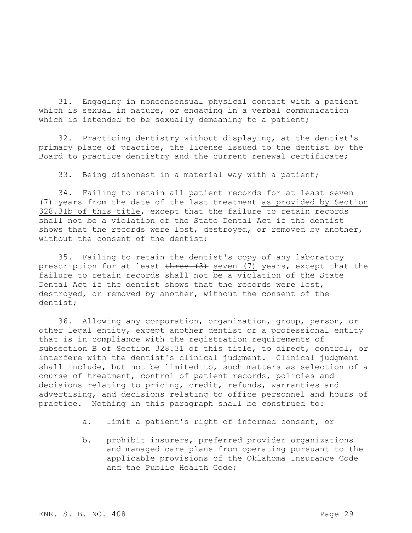31. Engaging in nonconsensual physical contact with a patient which is sexual in nature, or engaging in a verbal communication which is intended to be sexually demeaning to a patient;

32. Practicing dentistry without displaying, at the dentist's primary place of practice, the license issued to the dentist by the Board to practice dentistry and the current renewal certificate;

33. Being dishonest in a material way with a patient;

34. Failing to retain all patient records for at least seven (7) years from the date of the last treatment as provided by Section 328.31b of this title, except that the failure to retain records shall not be a violation of the State Dental Act if the dentist shows that the records were lost, destroyed, or removed by another, without the consent of the dentist;

35. Failing to retain the dentist's copy of any laboratory prescription for at least three (3) seven (7) years, except that the failure to retain records shall not be a violation of the State Dental Act if the dentist shows that the records were lost, destroyed, or removed by another, without the consent of the dentist;

36. Allowing any corporation, organization, group, person, or other legal entity, except another dentist or a professional entity that is in compliance with the registration requirements of subsection B of Section 328.31 of this title, to direct, control, or interfere with the dentist's clinical judgment. Clinical judgment shall include, but not be limited to, such matters as selection of a course of treatment, control of patient records, policies and decisions relating to pricing, credit, refunds, warranties and advertising, and decisions relating to office personnel and hours of practice. Nothing in this paragraph shall be construed to:

- a. limit a patient's right of informed consent, or
- b. prohibit insurers, preferred provider organizations and managed care plans from operating pursuant to the applicable provisions of the Oklahoma Insurance Code and the Public Health Code;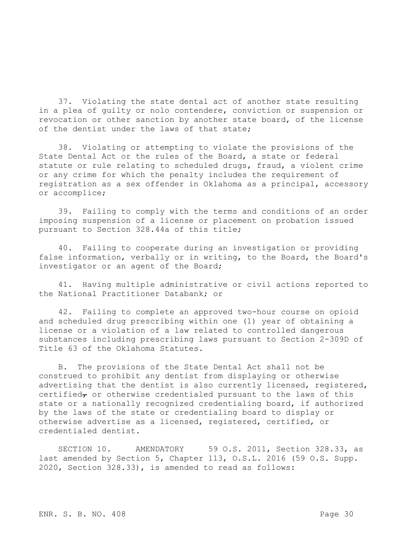37. Violating the state dental act of another state resulting in a plea of guilty or nolo contendere, conviction or suspension or revocation or other sanction by another state board, of the license of the dentist under the laws of that state;

38. Violating or attempting to violate the provisions of the State Dental Act or the rules of the Board, a state or federal statute or rule relating to scheduled drugs, fraud, a violent crime or any crime for which the penalty includes the requirement of registration as a sex offender in Oklahoma as a principal, accessory or accomplice;

39. Failing to comply with the terms and conditions of an order imposing suspension of a license or placement on probation issued pursuant to Section 328.44a of this title;

40. Failing to cooperate during an investigation or providing false information, verbally or in writing, to the Board, the Board's investigator or an agent of the Board;

41. Having multiple administrative or civil actions reported to the National Practitioner Databank; or

42. Failing to complete an approved two-hour course on opioid and scheduled drug prescribing within one (1) year of obtaining a license or a violation of a law related to controlled dangerous substances including prescribing laws pursuant to Section 2-309D of Title 63 of the Oklahoma Statutes.

B. The provisions of the State Dental Act shall not be construed to prohibit any dentist from displaying or otherwise advertising that the dentist is also currently licensed, registered, certified $_{\tau}$  or otherwise credentialed pursuant to the laws of this state or a nationally recognized credentialing board, if authorized by the laws of the state or credentialing board to display or otherwise advertise as a licensed, registered, certified, or credentialed dentist.

SECTION 10. AMENDATORY 59 O.S. 2011, Section 328.33, as last amended by Section 5, Chapter 113, O.S.L. 2016 (59 O.S. Supp. 2020, Section 328.33), is amended to read as follows: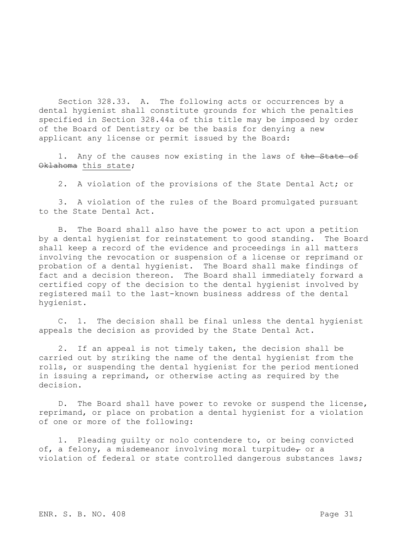Section 328.33. A. The following acts or occurrences by a dental hygienist shall constitute grounds for which the penalties specified in Section 328.44a of this title may be imposed by order of the Board of Dentistry or be the basis for denying a new applicant any license or permit issued by the Board:

1. Any of the causes now existing in the laws of the State of Oklahoma this state;

2. A violation of the provisions of the State Dental Act; or

3. A violation of the rules of the Board promulgated pursuant to the State Dental Act.

B. The Board shall also have the power to act upon a petition by a dental hygienist for reinstatement to good standing. The Board shall keep a record of the evidence and proceedings in all matters involving the revocation or suspension of a license or reprimand or probation of a dental hygienist. The Board shall make findings of fact and a decision thereon. The Board shall immediately forward a certified copy of the decision to the dental hygienist involved by registered mail to the last-known business address of the dental hygienist.

C. 1. The decision shall be final unless the dental hygienist appeals the decision as provided by the State Dental Act.

2. If an appeal is not timely taken, the decision shall be carried out by striking the name of the dental hygienist from the rolls, or suspending the dental hygienist for the period mentioned in issuing a reprimand, or otherwise acting as required by the decision.

D. The Board shall have power to revoke or suspend the license, reprimand, or place on probation a dental hygienist for a violation of one or more of the following:

1. Pleading guilty or nolo contendere to, or being convicted of, a felony, a misdemeanor involving moral turpitude $_{\tau}$  or a violation of federal or state controlled dangerous substances laws;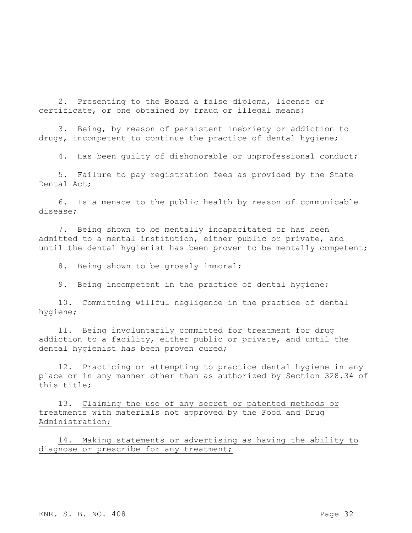2. Presenting to the Board a false diploma, license or certificate<sub> $\tau$ </sub> or one obtained by fraud or illegal means;

3. Being, by reason of persistent inebriety or addiction to drugs, incompetent to continue the practice of dental hygiene;

4. Has been guilty of dishonorable or unprofessional conduct;

5. Failure to pay registration fees as provided by the State Dental Act;

6. Is a menace to the public health by reason of communicable disease;

7. Being shown to be mentally incapacitated or has been admitted to a mental institution, either public or private, and until the dental hygienist has been proven to be mentally competent;

8. Being shown to be grossly immoral;

9. Being incompetent in the practice of dental hygiene;

10. Committing willful negligence in the practice of dental hygiene;

11. Being involuntarily committed for treatment for drug addiction to a facility, either public or private, and until the dental hygienist has been proven cured;

12. Practicing or attempting to practice dental hygiene in any place or in any manner other than as authorized by Section 328.34 of this title;

13. Claiming the use of any secret or patented methods or treatments with materials not approved by the Food and Drug Administration;

14. Making statements or advertising as having the ability to diagnose or prescribe for any treatment;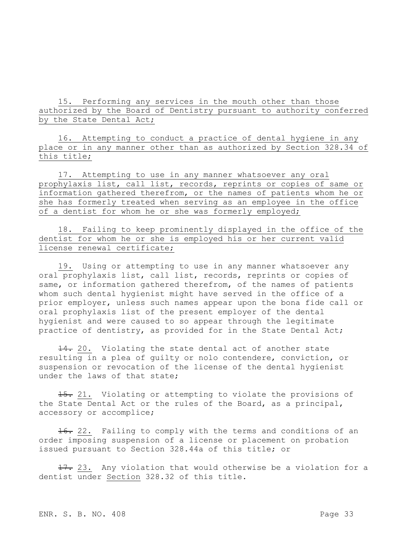15. Performing any services in the mouth other than those authorized by the Board of Dentistry pursuant to authority conferred by the State Dental Act;

16. Attempting to conduct a practice of dental hygiene in any place or in any manner other than as authorized by Section 328.34 of this title;

17. Attempting to use in any manner whatsoever any oral prophylaxis list, call list, records, reprints or copies of same or information gathered therefrom, or the names of patients whom he or she has formerly treated when serving as an employee in the office of a dentist for whom he or she was formerly employed;

18. Failing to keep prominently displayed in the office of the dentist for whom he or she is employed his or her current valid license renewal certificate;

19. Using or attempting to use in any manner whatsoever any oral prophylaxis list, call list, records, reprints or copies of same, or information gathered therefrom, of the names of patients whom such dental hygienist might have served in the office of a prior employer, unless such names appear upon the bona fide call or oral prophylaxis list of the present employer of the dental hygienist and were caused to so appear through the legitimate practice of dentistry, as provided for in the State Dental Act;

14. 20. Violating the state dental act of another state resulting in a plea of guilty or nolo contendere, conviction, or suspension or revocation of the license of the dental hygienist under the laws of that state;

15. 21. Violating or attempting to violate the provisions of the State Dental Act or the rules of the Board, as a principal, accessory or accomplice;

16. 22. Failing to comply with the terms and conditions of an order imposing suspension of a license or placement on probation issued pursuant to Section 328.44a of this title; or

17. 23. Any violation that would otherwise be a violation for a dentist under Section 328.32 of this title.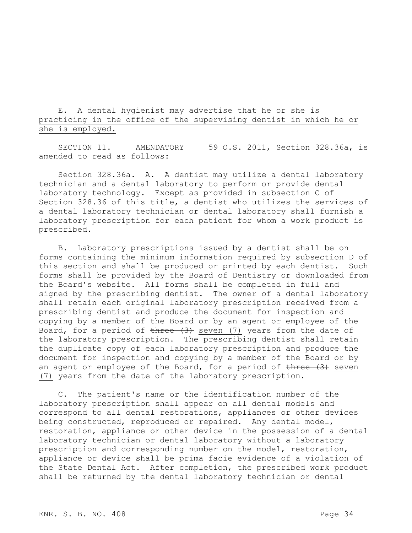E. A dental hygienist may advertise that he or she is practicing in the office of the supervising dentist in which he or she is employed.

SECTION 11. AMENDATORY 59 O.S. 2011, Section 328.36a, is amended to read as follows:

Section 328.36a. A. A dentist may utilize a dental laboratory technician and a dental laboratory to perform or provide dental laboratory technology. Except as provided in subsection C of Section 328.36 of this title, a dentist who utilizes the services of a dental laboratory technician or dental laboratory shall furnish a laboratory prescription for each patient for whom a work product is prescribed.

B. Laboratory prescriptions issued by a dentist shall be on forms containing the minimum information required by subsection D of this section and shall be produced or printed by each dentist. Such forms shall be provided by the Board of Dentistry or downloaded from the Board's website. All forms shall be completed in full and signed by the prescribing dentist. The owner of a dental laboratory shall retain each original laboratory prescription received from a prescribing dentist and produce the document for inspection and copying by a member of the Board or by an agent or employee of the Board, for a period of  $t$ hree  $(3)$  seven  $(7)$  years from the date of the laboratory prescription. The prescribing dentist shall retain the duplicate copy of each laboratory prescription and produce the document for inspection and copying by a member of the Board or by an agent or employee of the Board, for a period of  $t$ hree  $(3)$  seven (7) years from the date of the laboratory prescription.

C. The patient's name or the identification number of the laboratory prescription shall appear on all dental models and correspond to all dental restorations, appliances or other devices being constructed, reproduced or repaired. Any dental model, restoration, appliance or other device in the possession of a dental laboratory technician or dental laboratory without a laboratory prescription and corresponding number on the model, restoration, appliance or device shall be prima facie evidence of a violation of the State Dental Act. After completion, the prescribed work product shall be returned by the dental laboratory technician or dental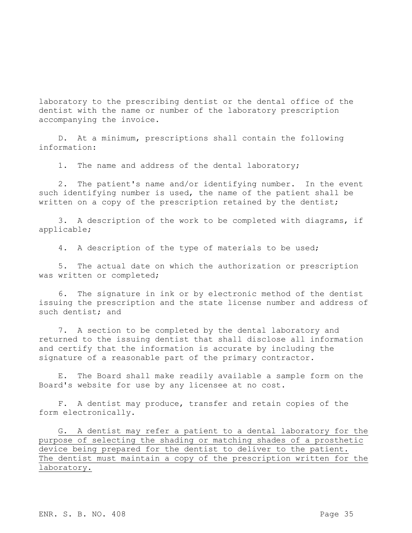laboratory to the prescribing dentist or the dental office of the dentist with the name or number of the laboratory prescription accompanying the invoice.

D. At a minimum, prescriptions shall contain the following information:

1. The name and address of the dental laboratory;

2. The patient's name and/or identifying number. In the event such identifying number is used, the name of the patient shall be written on a copy of the prescription retained by the dentist;

3. A description of the work to be completed with diagrams, if applicable;

4. A description of the type of materials to be used;

5. The actual date on which the authorization or prescription was written or completed;

6. The signature in ink or by electronic method of the dentist issuing the prescription and the state license number and address of such dentist; and

7. A section to be completed by the dental laboratory and returned to the issuing dentist that shall disclose all information and certify that the information is accurate by including the signature of a reasonable part of the primary contractor.

E. The Board shall make readily available a sample form on the Board's website for use by any licensee at no cost.

F. A dentist may produce, transfer and retain copies of the form electronically.

G. A dentist may refer a patient to a dental laboratory for the purpose of selecting the shading or matching shades of a prosthetic device being prepared for the dentist to deliver to the patient. The dentist must maintain a copy of the prescription written for the laboratory.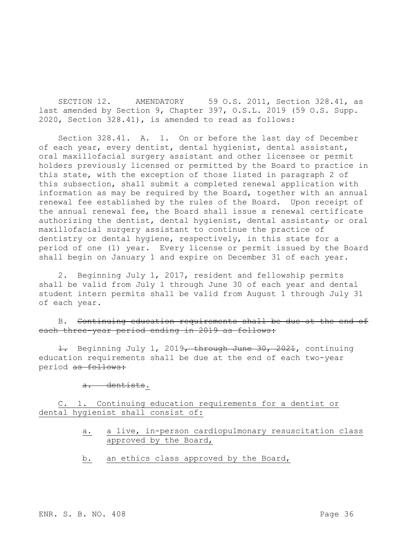SECTION 12. AMENDATORY 59 O.S. 2011, Section 328.41, as last amended by Section 9, Chapter 397, O.S.L. 2019 (59 O.S. Supp. 2020, Section 328.41), is amended to read as follows:

Section 328.41. A. 1. On or before the last day of December of each year, every dentist, dental hygienist, dental assistant, oral maxillofacial surgery assistant and other licensee or permit holders previously licensed or permitted by the Board to practice in this state, with the exception of those listed in paragraph 2 of this subsection, shall submit a completed renewal application with information as may be required by the Board, together with an annual renewal fee established by the rules of the Board. Upon receipt of the annual renewal fee, the Board shall issue a renewal certificate authorizing the dentist, dental hygienist, dental assistant $_{\tau}$  or oral maxillofacial surgery assistant to continue the practice of dentistry or dental hygiene, respectively, in this state for a period of one (1) year. Every license or permit issued by the Board shall begin on January 1 and expire on December 31 of each year.

2. Beginning July 1, 2017, resident and fellowship permits shall be valid from July 1 through June 30 of each year and dental student intern permits shall be valid from August 1 through July 31 of each year.

B. Continuing education requirements shall be due at the end of each three-year period ending in 2019 as follows:

1. Beginning July 1, 2019, through June 30, 2021, continuing education requirements shall be due at the end of each two-year period as follows:

a. dentists.

C. 1. Continuing education requirements for a dentist or dental hygienist shall consist of:

- a. a live, in-person cardiopulmonary resuscitation class approved by the Board,
- b. an ethics class approved by the Board,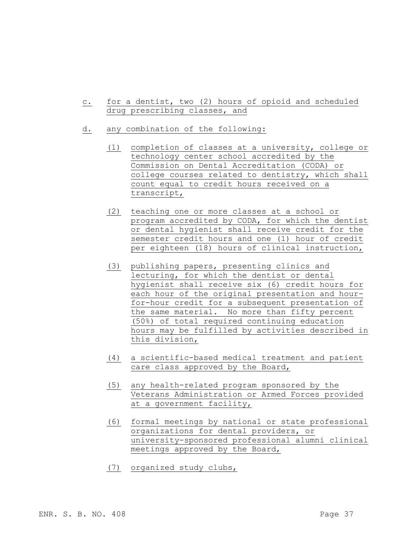- c. for a dentist, two (2) hours of opioid and scheduled drug prescribing classes, and
- d. any combination of the following:
	- (1) completion of classes at a university, college or technology center school accredited by the Commission on Dental Accreditation (CODA) or college courses related to dentistry, which shall count equal to credit hours received on a transcript,
	- (2) teaching one or more classes at a school or program accredited by CODA, for which the dentist or dental hygienist shall receive credit for the semester credit hours and one (1) hour of credit per eighteen (18) hours of clinical instruction,
	- (3) publishing papers, presenting clinics and lecturing, for which the dentist or dental hygienist shall receive six (6) credit hours for each hour of the original presentation and hourfor-hour credit for a subsequent presentation of the same material. No more than fifty percent (50%) of total required continuing education hours may be fulfilled by activities described in this division,
	- (4) a scientific-based medical treatment and patient care class approved by the Board,
	- (5) any health-related program sponsored by the Veterans Administration or Armed Forces provided at a government facility,
	- (6) formal meetings by national or state professional organizations for dental providers, or university-sponsored professional alumni clinical meetings approved by the Board,
	- (7) organized study clubs,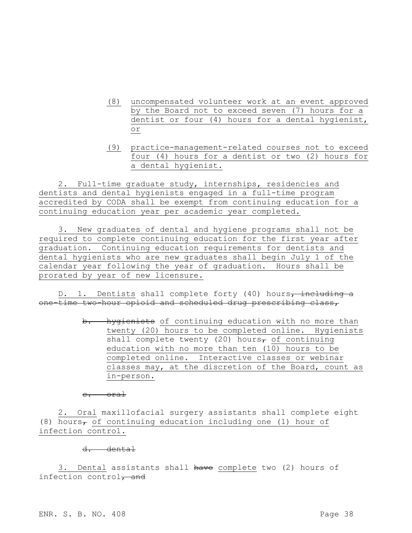- (8) uncompensated volunteer work at an event approved by the Board not to exceed seven (7) hours for a dentist or four (4) hours for a dental hygienist, or
- (9) practice-management-related courses not to exceed four (4) hours for a dentist or two (2) hours for a dental hygienist.

2. Full-time graduate study, internships, residencies and dentists and dental hygienists engaged in a full-time program accredited by CODA shall be exempt from continuing education for a continuing education year per academic year completed.

3. New graduates of dental and hygiene programs shall not be required to complete continuing education for the first year after graduation. Continuing education requirements for dentists and dental hygienists who are new graduates shall begin July 1 of the calendar year following the year of graduation. Hours shall be prorated by year of new licensure.

D. 1. Dentists shall complete forty (40) hours, including a one-time two-hour opioid and scheduled drug prescribing class,

> b. hygienists of continuing education with no more than twenty (20) hours to be completed online. Hygienists shall complete twenty (20) hours<sub> $\tau$ </sub> of continuing education with no more than ten (10) hours to be completed online. Interactive classes or webinar classes may, at the discretion of the Board, count as in-person.

c. oral

2. Oral maxillofacial surgery assistants shall complete eight (8) hours<sub>7</sub> of continuing education including one (1) hour of infection control.

d. dental

3. Dental assistants shall have complete two (2) hours of infection control, and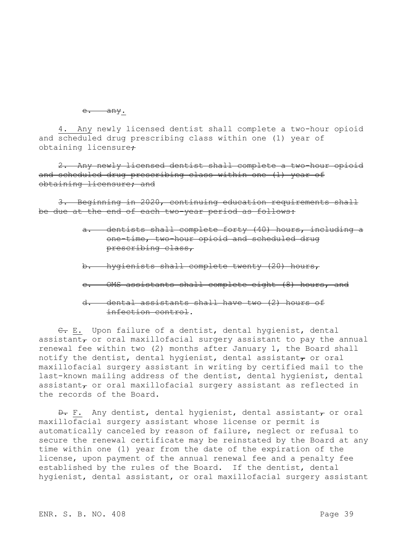e. any.

4. Any newly licensed dentist shall complete a two-hour opioid and scheduled drug prescribing class within one (1) year of obtaining licensure:

2. Any newly licensed dentist shall complete a two-hour opioid and scheduled drug prescribing class within one (1) year of obtaining licensure; and

3. Beginning in 2020, continuing education requirements shall be due at the end of each two-year period as follows:

- a. dentists shall complete forty (40) hours, including a one-time, two-hour opioid and scheduled drug prescribing class,
- b. hygienists shall complete twenty (20) hours,
- c. OMS assistants shall complete eight (8) hours, and
- d. dental assistants shall have two (2) hours of infection control.

C. E. Upon failure of a dentist, dental hygienist, dental assistant $_{\tau}$  or oral maxillofacial surgery assistant to pay the annual renewal fee within two (2) months after January 1, the Board shall notify the dentist, dental hygienist, dental assistant, or oral maxillofacial surgery assistant in writing by certified mail to the last-known mailing address of the dentist, dental hygienist, dental assistant $_{\tau}$  or oral maxillofacial surgery assistant as reflected in the records of the Board.

 $\overline{D}$ . F. Any dentist, dental hygienist, dental assistant, or oral maxillofacial surgery assistant whose license or permit is automatically canceled by reason of failure, neglect or refusal to secure the renewal certificate may be reinstated by the Board at any time within one (1) year from the date of the expiration of the license, upon payment of the annual renewal fee and a penalty fee established by the rules of the Board. If the dentist, dental hygienist, dental assistant, or oral maxillofacial surgery assistant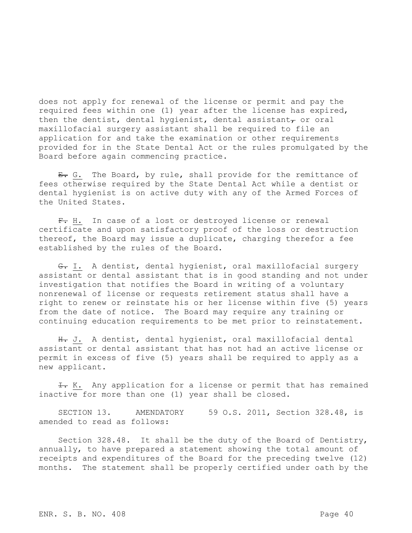does not apply for renewal of the license or permit and pay the required fees within one (1) year after the license has expired, then the dentist, dental hygienist, dental assistant $_{\tau}$  or oral maxillofacial surgery assistant shall be required to file an application for and take the examination or other requirements provided for in the State Dental Act or the rules promulgated by the Board before again commencing practice.

E. G. The Board, by rule, shall provide for the remittance of fees otherwise required by the State Dental Act while a dentist or dental hygienist is on active duty with any of the Armed Forces of the United States.

F. H. In case of a lost or destroyed license or renewal certificate and upon satisfactory proof of the loss or destruction thereof, the Board may issue a duplicate, charging therefor a fee established by the rules of the Board.

G. I. A dentist, dental hygienist, oral maxillofacial surgery assistant or dental assistant that is in good standing and not under investigation that notifies the Board in writing of a voluntary nonrenewal of license or requests retirement status shall have a right to renew or reinstate his or her license within five (5) years from the date of notice. The Board may require any training or continuing education requirements to be met prior to reinstatement.

H. J. A dentist, dental hygienist, oral maxillofacial dental assistant or dental assistant that has not had an active license or permit in excess of five (5) years shall be required to apply as a new applicant.

 $\pm$ . K. Any application for a license or permit that has remained inactive for more than one (1) year shall be closed.

SECTION 13. AMENDATORY 59 O.S. 2011, Section 328.48, is amended to read as follows:

Section 328.48. It shall be the duty of the Board of Dentistry, annually, to have prepared a statement showing the total amount of receipts and expenditures of the Board for the preceding twelve (12) months. The statement shall be properly certified under oath by the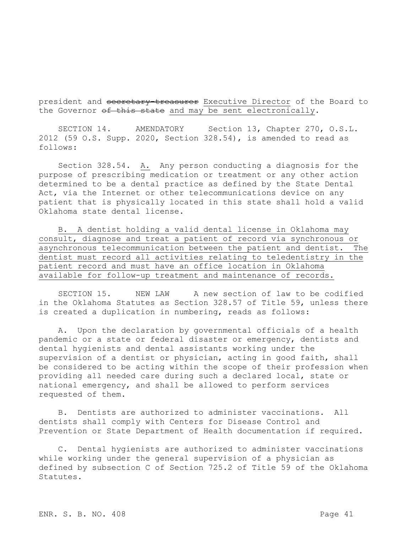president and secretary-treasurer Executive Director of the Board to the Governor of this state and may be sent electronically.

SECTION 14. AMENDATORY Section 13, Chapter 270, O.S.L. 2012 (59 O.S. Supp. 2020, Section 328.54), is amended to read as follows:

Section 328.54. A. Any person conducting a diagnosis for the purpose of prescribing medication or treatment or any other action determined to be a dental practice as defined by the State Dental Act, via the Internet or other telecommunications device on any patient that is physically located in this state shall hold a valid Oklahoma state dental license.

B. A dentist holding a valid dental license in Oklahoma may consult, diagnose and treat a patient of record via synchronous or asynchronous telecommunication between the patient and dentist. The dentist must record all activities relating to teledentistry in the patient record and must have an office location in Oklahoma available for follow-up treatment and maintenance of records.

SECTION 15. NEW LAW A new section of law to be codified in the Oklahoma Statutes as Section 328.57 of Title 59, unless there is created a duplication in numbering, reads as follows:

A. Upon the declaration by governmental officials of a health pandemic or a state or federal disaster or emergency, dentists and dental hygienists and dental assistants working under the supervision of a dentist or physician, acting in good faith, shall be considered to be acting within the scope of their profession when providing all needed care during such a declared local, state or national emergency, and shall be allowed to perform services requested of them.

B. Dentists are authorized to administer vaccinations. All dentists shall comply with Centers for Disease Control and Prevention or State Department of Health documentation if required.

C. Dental hygienists are authorized to administer vaccinations while working under the general supervision of a physician as defined by subsection C of Section 725.2 of Title 59 of the Oklahoma Statutes.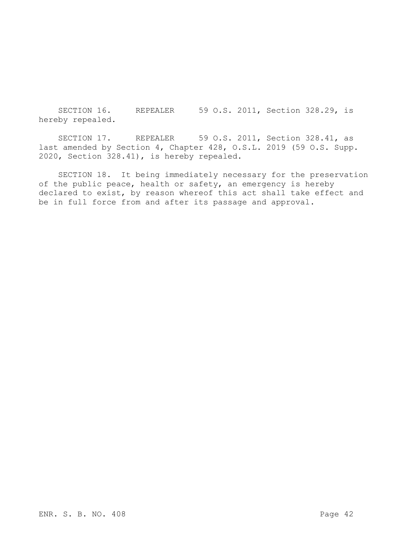SECTION 16. REPEALER 59 O.S. 2011, Section 328.29, is hereby repealed.

SECTION 17. REPEALER 59 O.S. 2011, Section 328.41, as last amended by Section 4, Chapter 428, O.S.L. 2019 (59 O.S. Supp. 2020, Section 328.41), is hereby repealed.

SECTION 18. It being immediately necessary for the preservation of the public peace, health or safety, an emergency is hereby declared to exist, by reason whereof this act shall take effect and be in full force from and after its passage and approval.